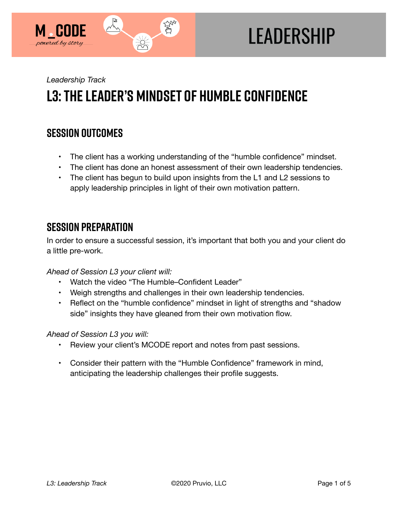

# **LEADERSHIP**

*Leadership Track* 

## **L3: The Leader's Mindset of Humble Confidence**

## **SESSION OUTCOMES**

- The client has a working understanding of the "humble confidence" mindset.
- The client has done an honest assessment of their own leadership tendencies.
- The client has begun to build upon insights from the L1 and L2 sessions to apply leadership principles in light of their own motivation pattern.

## **SESSION PREPARATION**

In order to ensure a successful session, it's important that both you and your client do a little pre-work.

*Ahead of Session L3 your client will:* 

- Watch the video "The Humble–Confident Leader"
- Weigh strengths and challenges in their own leadership tendencies.
- Reflect on the "humble confidence" mindset in light of strengths and "shadow side" insights they have gleaned from their own motivation flow.

#### *Ahead of Session L3 you will:*

- Review your client's MCODE report and notes from past sessions.
- Consider their pattern with the "Humble Confidence" framework in mind, anticipating the leadership challenges their profile suggests.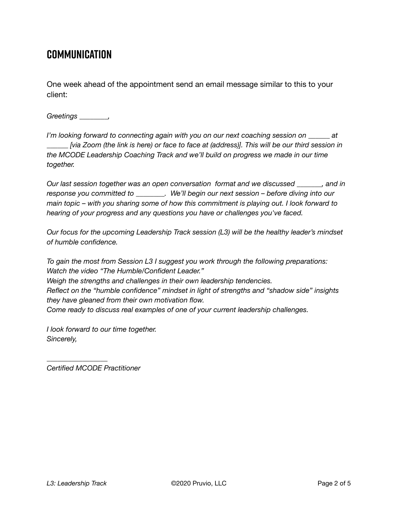## **COMMUNICATION**

One week ahead of the appointment send an email message similar to this to your client:

*Greetings \_\_\_\_\_\_\_\_,* 

*I'm looking forward to connecting again with you on our next coaching session on \_\_\_\_\_\_ at \_\_\_\_\_\_ [via Zoom (the link is here) or face to face at (address)]. This will be our third session in the MCODE Leadership Coaching Track and we'll build on progress we made in our time together.* 

*Our last session together was an open conversation format and we discussed \_\_\_\_\_\_\_, and in response you committed to \_\_\_\_\_\_\_\_. We'll begin our next session – before diving into our main topic – with you sharing some of how this commitment is playing out. I look forward to hearing of your progress and any questions you have or challenges you've faced.* 

*Our focus for the upcoming Leadership Track session (L3) will be the healthy leader's mindset of humble confidence.* 

*To gain the most from Session L3 I suggest you work through the following preparations: Watch the video "The Humble/Confident Leader." Weigh the strengths and challenges in their own leadership tendencies. Reflect on the "humble confidence" mindset in light of strengths and "shadow side" insights they have gleaned from their own motivation flow. Come ready to discuss real examples of one of your current leadership challenges.* 

*I look forward to our time together. Sincerely,* 

*Certified MCODE Practitioner*

*\_\_\_\_\_\_\_\_\_\_\_\_\_\_\_\_\_*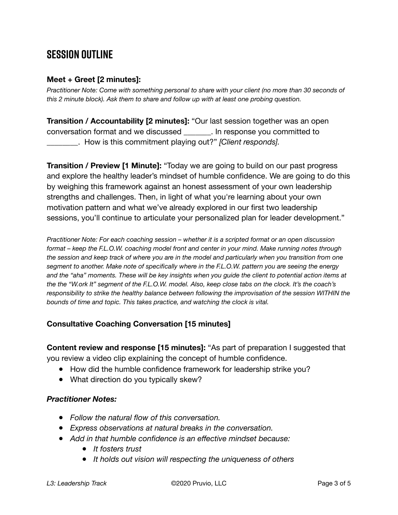## **SESSION OUTLINE**

#### **Meet + Greet [2 minutes]:**

*Practitioner Note: Come with something personal to share with your client (no more than 30 seconds of this 2 minute block). Ask them to share and follow up with at least one probing question.* 

**Transition / Accountability [2 minutes]:** "Our last session together was an open conversation format and we discussed \_\_\_\_\_\_\_. In response you committed to \_\_\_\_\_\_\_\_. How is this commitment playing out?" *[Client responds].* 

**Transition / Preview [1 Minute]:** "Today we are going to build on our past progress and explore the healthy leader's mindset of humble confidence. We are going to do this by weighing this framework against an honest assessment of your own leadership strengths and challenges. Then, in light of what you're learning about your own motivation pattern and what we've already explored in our first two leadership sessions, you'll continue to articulate your personalized plan for leader development."

*Practitioner Note: For each coaching session – whether it is a scripted format or an open discussion format – keep the F.L.O.W. coaching model front and center in your mind. Make running notes through the session and keep track of where you are in the model and particularly when you transition from one segment to another. Make note of specifically where in the F.L.O.W. pattern you are seeing the energy and the "aha" moments. These will be key insights when you guide the client to potential action items at the the "W.ork It" segment of the F.L.O.W. model. Also, keep close tabs on the clock. It's the coach's responsibility to strike the healthy balance between following the improvisation of the session WITHIN the bounds of time and topic. This takes practice, and watching the clock is vital.*

#### **Consultative Coaching Conversation [15 minutes]**

**Content review and response [15 minutes]:** "As part of preparation I suggested that you review a video clip explaining the concept of humble confidence.

- How did the humble confidence framework for leadership strike you?
- What direction do you typically skew?

#### *Practitioner Notes:*

- *Follow the natural flow of this conversation.*
- *Express observations at natural breaks in the conversation.*
- *Add in that humble confidence is an effective mindset because:* 
	- *It fosters trust*
	- *It holds out vision will respecting the uniqueness of others*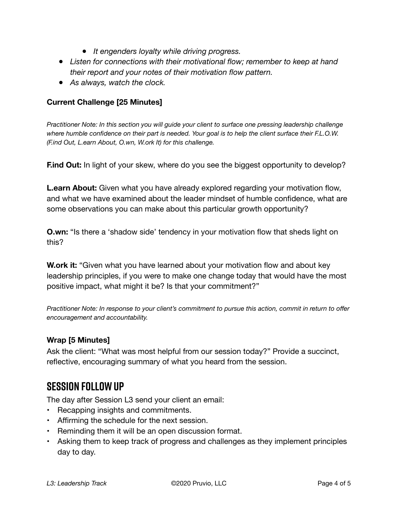- *It engenders loyalty while driving progress.*
- *Listen for connections with their motivational flow; remember to keep at hand their report and your notes of their motivation flow pattern.*
- *As always, watch the clock.*

#### **Current Challenge [25 Minutes]**

*Practitioner Note: In this section you will guide your client to surface one pressing leadership challenge where humble confidence on their part is needed. Your goal is to help the client surface their F.L.O.W. (F.ind Out, L.earn About, O.wn, W.ork It) for this challenge.* 

**Find Out:** In light of your skew, where do you see the biggest opportunity to develop?

**L.earn About:** Given what you have already explored regarding your motivation flow, and what we have examined about the leader mindset of humble confidence, what are some observations you can make about this particular growth opportunity?

**O.wn:** "Is there a 'shadow side' tendency in your motivation flow that sheds light on this?

**W.ork it:** "Given what you have learned about your motivation flow and about key leadership principles, if you were to make one change today that would have the most positive impact, what might it be? Is that your commitment?"

*Practitioner Note: In response to your client's commitment to pursue this action, commit in return to offer encouragement and accountability.* 

#### **Wrap [5 Minutes]**

Ask the client: "What was most helpful from our session today?" Provide a succinct, reflective, encouraging summary of what you heard from the session.

### **SESSION FOLLOW UP**

The day after Session L3 send your client an email:

- Recapping insights and commitments.
- Affirming the schedule for the next session.
- Reminding them it will be an open discussion format.
- Asking them to keep track of progress and challenges as they implement principles day to day.